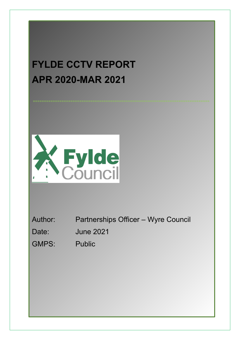# **FYLDE CCTV REPORT APR 2020MAR 2021**



Author: Partnerships Officer – Wyre Council

The aim and purpose of this yearly report is to explain and evaluate the current use of the Fylde District CCTV owned by Fylde Council. This is in accordance with the requirements of the Code of Practice for the Borough Closed Circuit Television System (CCTV) and the Home

Date: June 2021

Office Surveillance Camera Code of Practice.

GMPS: Public

**AIM & PURPOSE**

**AIM & PURPOSE**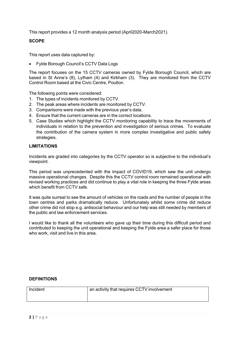This report provides a 12 month analysis period (April2020-March2021).

#### **SCOPE**

This report uses data captured by:

Fylde Borough Council's CCTV Data Logs

The report focuses on the 15 CCTV cameras owned by Fylde Borough Council, which are based in St Anne's (8), Lytham (4) and Kirkham (3). They are monitored from the CCTV Control Room based at the Civic Centre, Poulton.

The following points were considered:

- 1. The types of incidents monitored by CCTV.
- 2. The peak areas where incidents are monitored by CCTV.
- 3. Comparisons were made with the previous year's data.
- 4. Ensure that the current cameras are in the correct locations.
- 5. Case Studies which highlight the CCTV monitoring capability to trace the movements of individuals in relation to the prevention and investigation of serious crimes. To evaluate the contribution of the camera system in more complex investigative and public safety strategies.

#### **LIMITATIONS**

Incidents are graded into categories by the CCTV operator so is subjective to the individual's viewpoint.

This period was unprecedented with the impact of COVID19, which saw the unit undergo massive operational changes. Despite this the CCTV control room remained operational with revised working practices and did continue to play a vital role in keeping the three Fylde areas which benefit from CCTV safe.

It was quite surreal to see the amount of vehicles on the roads and the number of people in the town centres and parks dramatically reduce. Unfortunately whilst some crime did reduce other crime did not stop e.g. antisocial behaviour and our help was still needed by members of the public and law enforcement services.

I would like to thank all the volunteers who gave up their time during this difficult period and contributed to keeping the unit operational and keeping the Fylde area a safer place for those who work, visit and live in this area.

#### **DEFINITIONS**

| Incident | an activity that requires CCTV involvement |
|----------|--------------------------------------------|
|          |                                            |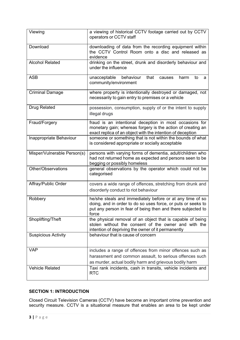| Viewing                     | a viewing of historical CCTV footage carried out by CCTV<br>operators or CCTV staff                                                                                                               |
|-----------------------------|---------------------------------------------------------------------------------------------------------------------------------------------------------------------------------------------------|
| Download                    | downloading of data from the recording equipment within<br>the CCTV Control Room onto a disc and released as<br>evidence                                                                          |
| <b>Alcohol Related</b>      | drinking on the street, drunk and disorderly behaviour and<br>under the influence                                                                                                                 |
| <b>ASB</b>                  | unacceptable<br>behaviour<br>that<br>harm<br>causes<br>to<br>a<br>community/environment                                                                                                           |
| <b>Criminal Damage</b>      | where property is intentionally destroyed or damaged, not<br>necessarily to gain entry to premises or a vehicle                                                                                   |
| <b>Drug Related</b>         | possession, consumption, supply of or the intent to supply<br>illegal drugs                                                                                                                       |
| Fraud/Forgery               | fraud is an intentional deception in most occasions for<br>monetary gain; whereas forgery is the action of creating an<br>exact replica of an object with the intention of deception              |
| Inappropriate Behaviour     | someone or something that is not within the bounds of what<br>is considered appropriate or socially acceptable                                                                                    |
| Misper/Vulnerable Person(s) | persons with varying forms of dementia, adult/children who<br>had not returned home as expected and persons seen to be<br>begging or possibly homeless                                            |
| Other/Observations          | general observations by the operator which could not be<br>categorised                                                                                                                            |
| Affray/Public Order         | covers a wide range of offences, stretching from drunk and<br>disorderly conduct to riot behaviour                                                                                                |
| Robbery                     | he/she steals and immediately before or at any time of so<br>doing, and in order to do so uses force, or puts or seeks to<br>put any person in fear of being then and there subjected to<br>force |
| Shoplifting/Theft           | the physical removal of an object that is capable of being<br>stolen without the consent of the owner and with the<br>intention of depriving the owner of it permanently                          |
| <b>Suspicious Activity</b>  | behaviour that is cause of concern                                                                                                                                                                |
| <b>VAP</b>                  | includes a range of offences from minor offences such as<br>harassment and common assault, to serious offences such<br>as murder, actual bodily harm and grievous bodily harm                     |
| <b>Vehicle Related</b>      | Taxi rank incidents, cash in transits, vehicle incidents and<br><b>RTC</b>                                                                                                                        |

# **SECTION 1: INTRODUCTION**

Closed Circuit Television Cameras (CCTV) have become an important crime prevention and security measure. CCTV is a situational measure that enables an area to be kept under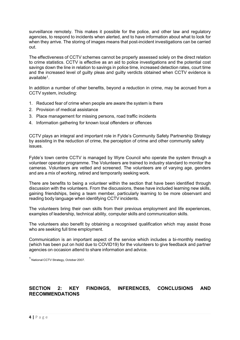surveillance remotely. This makes it possible for the police, and other law and regulatory agencies, to respond to incidents when alerted, and to have information about what to look for when they arrive. The storing of images means that post-incident investigations can be carried out.

The effectiveness of CCTV schemes cannot be properly assessed solely on the direct relation to crime statistics. CCTV is effective as an aid to police investigations and the potential cost savings down the line in relation to savings in police time, increased detection rates, court time and the increased level of guilty pleas and guilty verdicts obtained when CCTV evidence is available 1 .

In addition a number of other benefits, beyond a reduction in crime, may be accrued from a CCTV system, including:

- 1. Reduced fear of crime when people are aware the system is there
- 2. Provision of medical assistance
- 3. Place management for missing persons, road traffic incidents
- 4. Information gathering for known local offenders or offences

CCTV plays an integral and important role in Fylde's Community Safety Partnership Strategy by assisting in the reduction of crime, the perception of crime and other community safety issues.

Fylde's town centre CCTV is managed by Wyre Council who operate the system through a volunteer operator programme. The Volunteers are trained to industry standard to monitor the cameras. Volunteers are vetted and screened. The volunteers are of varying age, genders and are a mix of working, retired and temporarily seeking work.

There are benefits to being a volunteer within the section that have been identified through discussion with the volunteers. From the discussions, these have included learning new skills, gaining friendships, being a team member, particularly learning to be more observant and reading body language when identifying CCTV incidents.

The volunteers bring their own skills from their previous employment and life experiences, examples of leadership, technical ability, computer skills and communication skills.

The volunteers also benefit by obtaining a recognised qualification which may assist those who are seeking full time employment.

Communication is an important aspect of the service which includes a bi-monthly meeting (which has been put on hold due to COVID19) for the volunteers to give feedback and partner agencies on occasion attend to share information and advice.

<sup>1</sup> National CCTV Strategy, October 2007.

# **SECTION 2: KEY FINDINGS, INFERENCES, CONCLUSIONS AND RECOMMENDATIONS**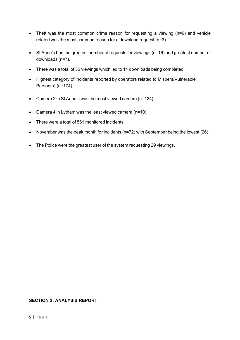- Theft was the most common crime reason for requesting a viewing (n=9) and vehicle related was the most common reason for a download request (n=3).
- St Anne's had the greatest number of requests for viewings (n=16) and greatest number of downloads (n=7).
- There was a total of 36 viewings which led to 14 downloads being completed.
- Highest category of incidents reported by operators related to Mispers/Vulnerable Person(s) (n=174).
- Camera 2 in St Anne's was the most viewed camera (n=124).
- Camera 4 in Lytham was the least viewed camera (n=10).
- There were a total of 561 monitored incidents.
- November was the peak month for incidents (n=72) with September being the lowest (26).
- The Police were the greatest user of the system requesting 29 viewings.

## **SECTION 3: ANALYSIS REPORT**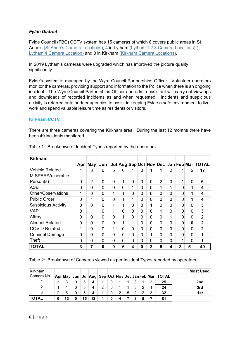## *Fylde District*

Fylde Council (FBC) CCTV system has 15 cameras of which 8 covers public areas in St Anne's (St Anne's Camera [Locations\)](file:///\\WYRE_BC\Public-root$\public\Cesu\CELOCAL\WYRE%20COMMUNITY%20SAFETY\10%20CCTV\Annual%20Report\2014%2015%20Fylde%20Collaboration%20Project\Fylde%20maps%20of%20cameras\St%20Annes%20(overview%20)%20%20v2%200.pdf), 4 in Lytham (Lytham 1 2 3 Camera [Locations](file:///\\WYRE_BC\Public-root$\public\Cesu\CELOCAL\WYRE%20COMMUNITY%20SAFETY\10%20CCTV\Annual%20Report\2014%2015%20Fylde%20Collaboration%20Project\Fylde%20maps%20of%20cameras\Lytham%20(overview)%20v2.0.pdf)) ( Lytham 4 Camera [Location](file:///\\WYRE_BC\Public-root$\public\Cesu\CELOCAL\WYRE%20COMMUNITY%20SAFETY\10%20CCTV\Annual%20Report\2014%2015%20Fylde%20Collaboration%20Project\Fylde%20maps%20of%20cameras\Lytham%20Station%20(overview)%20v2.0.pdf)) and 3 in Kirkham (Kirkham Camera [Locations\)](file:///\\WYRE_BC\Public-root$\public\Cesu\CELOCAL\WYRE%20COMMUNITY%20SAFETY\10%20CCTV\Annual%20Report\2014%2015%20Fylde%20Collaboration%20Project\Fylde%20maps%20of%20cameras\Kirkham%20(overview)%20v2.0.pdf).

In 2019 Lytham's cameras were upgraded which has improved the picture quality significantly.

Fylde's system is managed by the Wyre Council Partnerships Officer. Volunteer operators monitor the cameras, providing support and information to the Police when there is an ongoing incident. The Wyre Council Partnerships Officer and admin assistant will carry out viewings and downloads of recorded incidents as and when requested. Incidents and suspicious activity is referred onto partner agencies to assist in keeping Fylde a safe environment to live, work and spend valuable leisure time as residents or visitors.

#### **Kirkham CCTV**

There are three cameras covering the Kirkham area. During the last 12 months there have been 49 incidents monitored.

| <b>Kirkham</b>             |                |     |                |   |              |              |                |   |                |   |   |   |                                           |
|----------------------------|----------------|-----|----------------|---|--------------|--------------|----------------|---|----------------|---|---|---|-------------------------------------------|
|                            | Apr            | May | Jun            |   |              |              |                |   |                |   |   |   | Jul Aug Sep Oct Nov Dec Jan Feb Mar TOTAL |
| <b>Vehicle Related</b>     | 1              | 3   | 0              | 5 | 0            | 1            | $\Omega$       | 1 | 1              | 2 | 1 | 2 | 17                                        |
| MISPER/Vulnerable          |                |     |                |   |              |              |                |   |                |   |   |   |                                           |
| Person(s)                  | 0              | 2   | 0              | 0 | $\mathbf{1}$ | $\Omega$     | $\overline{0}$ | 0 | $\overline{2}$ | 0 |   | 0 | 6                                         |
| <b>ASB</b>                 | 0              | 0   | $\overline{0}$ | 0 | 0            | 1            | $\overline{0}$ | 0 | 1              | 1 | 0 |   | 4                                         |
| Other/Observations         | 1              | 0   | $\overline{0}$ | 1 | 1            | $\mathbf{0}$ | $\overline{0}$ | 0 | 0              | 0 | 0 |   | 4                                         |
| <b>Public Order</b>        | $\Omega$       | 1   | 0              | 0 | 1            | 1            | $\overline{0}$ | 0 | 0              | 0 | 0 |   | 4                                         |
| <b>Suspicious Activity</b> | $\overline{0}$ | 0   | 0              | 1 | 1            | 0            | $\overline{0}$ | 1 | 0              | 0 | 0 | 0 | 3                                         |
| <b>VAP</b>                 | 0              | 1   | $\mathbf 0$    | 1 | 0            | $\mathbf{0}$ | $\overline{0}$ | 0 | $\mathbf{1}$   | 0 | 0 | 0 | 3                                         |
| Affray                     | 0              | 0   | 0              | 0 | 1            | 0            | $\overline{0}$ | 0 | 0              | 1 | 0 | 0 | $\mathbf{2}$                              |
| <b>Alcohol Related</b>     | 0              | 0   | 0              | 0 | 1            | 1            | $\overline{0}$ | 0 | 0              | 0 | 0 | 0 | $\overline{2}$                            |
| <b>COVID Related</b>       | 1              | 0   | $\mathbf 0$    | 1 | 0            | $\mathbf 0$  | $\overline{0}$ | 0 | 0              | 0 | 0 | 0 | $\overline{2}$                            |
| <b>Criminal Damage</b>     | 0              | 0   | 0              | 0 | 0            | 0            | $\overline{0}$ | 1 | 0              | 0 | 0 | 0 |                                           |
| Theft                      | 0              | 0   | $\mathbf 0$    | 0 | 0            | 0            | $\overline{0}$ | 0 | 0              | 0 |   | 0 |                                           |
| <b>TOTAL</b>               | 3              | 7   | $\Omega$       | 9 | 6            | 4            | 0              | 3 | 5              | 4 | 3 | 5 | 49                                        |

Table 1: Breakdown of Incident Types reported by the operators

#### Table 2: Breakdown of Cameras viewed as per Incident Types reported by operators

| Kirkham      |   |    |    |    |   |    |   |   |   |                                                                   | Most Used |
|--------------|---|----|----|----|---|----|---|---|---|-------------------------------------------------------------------|-----------|
| Camera No    |   |    |    |    |   |    |   |   |   | Apr∣ May∣ Jun   Jul  Aug   Sep  Oct  Nov  Dec Jan Feb Mar   TOTAL |           |
|              | 3 | າ  | 5  |    |   | 0  |   | հ | 3 | 25                                                                | 2nd       |
| 2            |   |    | 5  |    | 2 | 0  |   | 2 | 4 | 24                                                                | 3rd       |
| 3            | ົ | 6  | 5  | 4  |   | 0. | 5 |   | 3 | 32                                                                | 1st       |
| <b>TOTAL</b> | 6 | 13 | '5 | 12 | 4 | 0  |   |   |   | 81                                                                |           |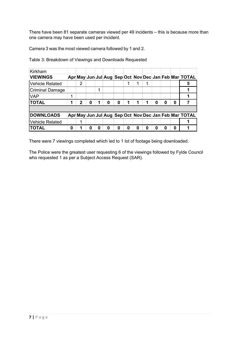There have been 81 separate cameras viewed per 49 incidents – this is because more than one camera may have been used per incident.

Camera 3 was the most viewed camera followed by 1 and 2.

| <b>Kirkham</b>         |   |                |   |   |   |   |   |   |   |   |   |                                                       |
|------------------------|---|----------------|---|---|---|---|---|---|---|---|---|-------------------------------------------------------|
| <b>VIEWINGS</b>        |   |                |   |   |   |   |   |   |   |   |   | Apr May Jun Jul Aug Sep Oct Nov Dec Jan Feb Mar TOTAL |
| <b>Vehicle Related</b> |   | $\overline{2}$ |   |   |   |   |   | 1 |   |   |   | 5                                                     |
| <b>Criminal Damage</b> |   |                |   |   |   |   |   |   |   |   |   |                                                       |
| <b>VAP</b>             |   |                |   |   |   |   |   |   |   |   |   |                                                       |
| <b>TOTAL</b>           |   | 2              | O |   | 0 | 1 | 1 | 1 | 0 | 0 | 0 |                                                       |
|                        |   |                |   |   |   |   |   |   |   |   |   |                                                       |
| <b>DOWNLOADS</b>       |   |                |   |   |   |   |   |   |   |   |   | Apr May Jun Jul Aug Sep Oct Nov Dec Jan Feb Mar TOTAL |
| <b>Vehicle Related</b> |   | 1              |   |   |   |   |   |   |   |   |   |                                                       |
| <b>TOTAL</b>           | 0 |                | O | 0 | 0 | 0 | 0 | 0 | 0 | 0 | Ω |                                                       |

Table 3: Breakdown of Viewings and Downloads Requested

There were 7 viewings completed which led to 1 lot of footage being downloaded.

The Police were the greatest user requesting 6 of the viewings followed by Fylde Council who requested 1 as per a Subject Access Request (SAR).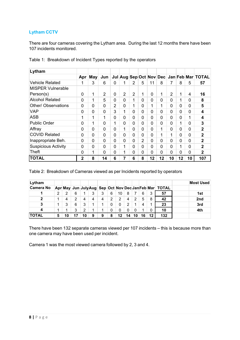# **Lytham CCTV**

There are four cameras covering the Lytham area. During the last 12 months there have been 107 incidents monitored.

| Lytham                     |              |                |                |              |                |                |          |          |    |                |                |          |                                           |
|----------------------------|--------------|----------------|----------------|--------------|----------------|----------------|----------|----------|----|----------------|----------------|----------|-------------------------------------------|
|                            | Apr          | <b>May</b>     | Jun            |              |                |                |          |          |    |                |                |          | Jul Aug Sep Oct Nov Dec Jan Feb Mar TOTAL |
| <b>Vehicle Related</b>     | 1            | 3              | 6              | $\Omega$     | 1              | 2              | 5        | 11       | 8  | 7              | 8              | 5        | 57                                        |
| <b>MISPER Vulnerable</b>   |              |                |                |              |                |                |          |          |    |                |                |          |                                           |
| Person(s)                  | 0            | 1              | $\overline{2}$ | $\Omega$     | $\overline{2}$ | $\overline{2}$ | 1        | 0        | 1  | 2              | 1              | 4        | 16                                        |
| <b>Alcohol Related</b>     | 0            | 1              | 5              | $\Omega$     | $\Omega$       | 1              | $\Omega$ | 0        | 0  | 0              | 1              | 0        | 8                                         |
| <b>Other/ Observations</b> | 0            | 0              | 0              | 2            | $\Omega$       | 1              | $\Omega$ | 1        | 1  | 0              | 0              | 0        | 5                                         |
| VAP                        | 0            | 0              | $\Omega$       | 3            | 1              | 0              | $\Omega$ | 0        | 0  | $\overline{0}$ | $\overline{0}$ | 0        | 4                                         |
| <b>ASB</b>                 | 1            | 1              | 1              | $\Omega$     | $\Omega$       | 0              | $\Omega$ | 0        | 0  | $\overline{0}$ | $\overline{0}$ | 1        | 4                                         |
| <b>Public Order</b>        | 0            | 1              | 0              | 1            | $\Omega$       | 0              | $\Omega$ | 0        | 0  | $\overline{0}$ | 1              | 0        | 3                                         |
| Affray                     | 0            | 0              | 0              | $\mathbf{0}$ | 1              | 0              | $\Omega$ | 0        | 1  | 0              | 0              | 0        | $\overline{2}$                            |
| <b>COVID Related</b>       | 0            | 0              | 0              | $\Omega$     | $\Omega$       | 0              | $\Omega$ | 0        | 1  | 1              | 0              | 0        | $\overline{2}$                            |
| Inappropriate Beh.         | 0            | $\overline{0}$ | $\Omega$       | $\Omega$     | $\Omega$       | 0              | 2        | $\Omega$ | 0  | $\mathbf 0$    | $\Omega$       | $\Omega$ | $\mathbf{2}$                              |
| <b>Suspicious Activity</b> | 0            | 0              | 0              | $\Omega$     | 1              | 0              | $\Omega$ | 0        | 0  | 0              | 1              | 0        | $\mathbf{2}$                              |
| <b>Theft</b>               | 0            | 1              | 0              | $\Omega$     | ◀              | ი              | $\Omega$ | 0        | 0  | 0              | $\Omega$       | 0        | $\mathbf 2$                               |
| <b>TOTAL</b>               | $\mathbf{2}$ | 8              | 14             | 6            |                | 6              | 8        | 12       | 12 | 10             | 12             | 10       | 107                                       |

Table 1: Breakdown of Incident Types reported by the operators

Table 2: Breakdown of Cameras viewed as per Incidents reported by operators

| Lytham           |                |   |   |    |   |   |   |    |     |     |   |    |                                                       | Most Used |
|------------------|----------------|---|---|----|---|---|---|----|-----|-----|---|----|-------------------------------------------------------|-----------|
| <b>Camera No</b> |                |   |   |    |   |   |   |    |     |     |   |    | Apr May Jun JulyAug Sep Oct Nov Dec Jan Feb Mar TOTAL |           |
|                  | $\overline{2}$ | っ | 6 |    | 3 | 3 | 6 | 10 | 8   |     | 6 | 3  | 57                                                    | 1st       |
| $\mathbf 2$      |                | 4 | 2 |    | 4 | 4 | 2 | 2  | 4   | 2   | 5 | 8  | 42                                                    | 2nd       |
| 3                |                | 3 | 6 | 3  | 1 |   | 0 | 0  |     |     |   | 1  | 23                                                    | 3rd       |
|                  |                |   | 3 | ົ  |   |   | 0 | 0  |     |     |   | 0  | 10                                                    | 4th       |
| <b>TOTAL</b>     | 5              |   |   | 10 | 9 | 9 | 8 | 12 | 14. | 10. |   | 12 | 132                                                   |           |

There have been 132 separate cameras viewed per 107 incidents – this is because more than one camera may have been used per incident.

Camera 1 was the most viewed camera followed by 2, 3 and 4.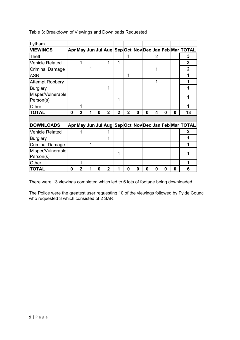| Lytham                         |   |                |   |   |                |                |                |   |   |                |   |          |                                                       |
|--------------------------------|---|----------------|---|---|----------------|----------------|----------------|---|---|----------------|---|----------|-------------------------------------------------------|
| <b>VIEWINGS</b>                |   |                |   |   |                |                |                |   |   |                |   |          | Apr May Jun Jul Aug Sep Oct Nov Dec Jan Feb Mar TOTAL |
| Theft                          |   |                |   |   |                |                | 1              |   |   | $\overline{2}$ |   |          | 3                                                     |
| <b>Vehicle Related</b>         |   | 1              |   |   | 1              | 1              |                |   |   |                |   |          | 3                                                     |
| <b>Criminal Damage</b>         |   |                | 1 |   |                |                |                |   |   | 1              |   |          | $\overline{2}$                                        |
| <b>ASB</b>                     |   |                |   |   |                |                | 1              |   |   |                |   |          | 1                                                     |
| <b>Attempt Robbery</b>         |   |                |   |   |                |                |                |   |   | 1              |   |          | 1                                                     |
| <b>Burglary</b>                |   |                |   |   | 1              |                |                |   |   |                |   |          | 1                                                     |
| Misper/Vulnerable<br>Person(s) |   |                |   |   |                | 1              |                |   |   |                |   |          |                                                       |
| Other                          |   | 1              |   |   |                |                |                |   |   |                |   |          |                                                       |
| <b>TOTAL</b>                   | 0 | $\overline{2}$ | 1 | 0 | $\overline{2}$ | $\overline{2}$ | $\overline{2}$ | 0 | 0 | 4              | 0 | $\bf{0}$ | 13                                                    |
|                                |   |                |   |   |                |                |                |   |   |                |   |          |                                                       |
| <b>DOWNLOADS</b>               |   |                |   |   |                |                |                |   |   |                |   |          | Apr May Jun Jul Aug Sep Oct Nov Dec Jan Feb Mar TOTAL |
| <b>Vehicle Related</b>         |   | 1              |   |   | 1              |                |                |   |   |                |   |          | 2                                                     |
| <b>Burglary</b>                |   |                |   |   | 1              |                |                |   |   |                |   |          | 1                                                     |
| <b>Criminal Damage</b>         |   |                | 1 |   |                |                |                |   |   |                |   |          | 1                                                     |
| Misper/Vulnerable<br>Person(s) |   |                |   |   |                | 1              |                |   |   |                |   |          |                                                       |
| Other                          |   |                |   |   |                |                |                |   |   |                |   |          |                                                       |
| <b>TOTAL</b>                   | 0 | $\overline{2}$ |   | 0 | $\mathbf{2}$   |                | 0              | 0 | 0 | 0              | 0 | 0        | 6                                                     |

## Table 3: Breakdown of Viewings and Downloads Requested

There were 13 viewings completed which led to 6 lots of footage being downloaded.

The Police were the greatest user requesting 10 of the viewings followed by Fylde Council who requested 3 which consisted of 2 SAR.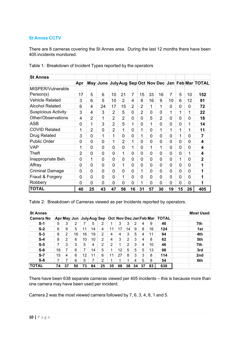# **St Annes CCTV**

There are 8 cameras covering the St Annes area. During the last 12 months there have been 405 incidents monitored.

| <b>St Annes</b>            |                |                |                |                |                |                |                |    |                |                |    |                |                                                     |
|----------------------------|----------------|----------------|----------------|----------------|----------------|----------------|----------------|----|----------------|----------------|----|----------------|-----------------------------------------------------|
|                            | Apr            |                |                |                |                |                |                |    |                |                |    |                | May June July Aug Sep Oct Nov Dec Jan Feb Mar TOTAL |
| MISPER/Vulnerable          |                |                |                |                |                |                |                |    |                |                |    |                |                                                     |
| Person(s)                  | 17             | 5              | 6              | 10             | 21             | $\overline{7}$ | 15             | 33 | 16             | 7              | 5  | 10             | 152                                                 |
| <b>Vehicle Related</b>     | 3              | 6              | 5              | 10             | $\overline{2}$ | 4              | 8              | 16 | 9              | 10             | 6  | 12             | 91                                                  |
| <b>Alcohol Related</b>     | 6              | 4              | 24             | 17             | 15             | $\overline{2}$ | $\overline{2}$ | 1  | 1              | 0              | 0  | 0              | 72                                                  |
| <b>Suspicious Activity</b> | 3              | 4              | 3              | $\overline{2}$ | 5              | 0              | $\overline{2}$ | 0  | 0              | 1              | 1  | 1              | 22                                                  |
| Other/Observations         | 4              | $\overline{2}$ | 1              | $\overline{2}$ | $\overline{2}$ | 0              | $\overline{0}$ | 5  | $\overline{2}$ | 0              | 0  | 0              | 18                                                  |
| <b>ASB</b>                 | 0              | 1              | 3              | $\overline{2}$ | 5              | 1              | $\mathbf 0$    | 1  | 0              | 0              | 0  | 1              | 14                                                  |
| <b>COVID Related</b>       | 1              | $\overline{2}$ | 0              | $\overline{2}$ | 1              | $\Omega$       | 1              | 0  | 1              | 1              | 1  | 1              | 11                                                  |
| <b>Drug Related</b>        | 3              | 0              | 1              | 1              | 0              | 0              | 1              | 0  | 0              | $\overline{0}$ | 1  | $\mathbf 0$    | $\overline{7}$                                      |
| <b>Public Order</b>        | 0              | 0              | 0              | 1              | $\overline{2}$ | 1              | $\overline{0}$ | 0  | 0              | 0              | 0  | 0              | 4                                                   |
| <b>VAP</b>                 | 1              | 0              | 0              | 0              | 0              | 1              | $\overline{0}$ | 1  | 1              | 0              | 0  | 0              | 4                                                   |
| Theft                      | $\overline{2}$ | 0              | 0              | 0              | 1              | $\overline{0}$ | $\overline{0}$ | 0  | 0              | 0              | 0  | 1              | 4                                                   |
| Inappropriate Beh.         | 0              | 1              | 0              | 0              | 0              | $\overline{0}$ | $\overline{0}$ | 0  | 0              | 0              | 1  | 0              | $\overline{2}$                                      |
| Affray                     | 0              | $\overline{0}$ | 0              | $\overline{0}$ | 1              | 0              | $\mathbf 0$    | 0  | 0              | 0              | 0  | $\overline{0}$ | 1                                                   |
| <b>Criminal Damage</b>     | 0              | 0              | 0              | 0              | 0              | 0              | 1              | 0  | 0              | 0              | 0  | 0              | 1                                                   |
| Fraud & Forgery            | 0              | 0              | 0              | 0              | $\mathbf{1}$   | 0              | $\overline{0}$ | 0  | 0              | 0              | 0  | 0              | 1                                                   |
| Robbery                    | 0              | $\overline{0}$ | $\overline{0}$ | $\overline{0}$ | 0              | 0              | 1              | 0  | 0              | 0              | 0  | 0              | 1                                                   |
| <b>TOTAL</b>               | 40             | 25             | 43             | 47             | 56             | 16             | 31             | 57 | 30             | 19             | 15 | 26             | 405                                                 |

Table 1: Breakdown of Incident Types reported by the operators

Table 2: Breakdown of Cameras viewed as per Incidents reported by operators.

| <b>St Annes</b> |    |                |                |    |    |                          |                |    |    |    |    |                         |              | <b>Most Used</b> |
|-----------------|----|----------------|----------------|----|----|--------------------------|----------------|----|----|----|----|-------------------------|--------------|------------------|
| ∣Camera No      |    |                |                |    |    | Apr May Jun July Aug Sep |                |    |    |    |    | Oct Nov Dec Jan Feb Mar | <b>TOTAL</b> |                  |
| $S-1$           | 5  | 3              | $\overline{2}$ |    | 5  | 2                        |                | 3  | 3  | 2  | 4  | 9                       | 46           | 7th              |
| $S-2$           | 6  | 9              | 5              | 11 | 14 | 4                        | 11             | 17 | 14 | 9  | 8  | 16                      | 124          | 1st              |
| $S-3$           | 8  | $\overline{2}$ | 16             | 16 | 19 | 2                        | 4              | 4  | 3  | 5  | 4  | 11                      | 94           | 4th              |
| $S-4$           | 8  | 2              | 6              | 10 | 10 | 2                        | 4              | 3  | 2  | 3  | 4  | 8                       | 62           | 5th              |
| $S-5$           | 7  | 3              | 3              | 5  | 4  | 2                        | $\overline{2}$ | 1  | 2  | 3  | 4  | 10                      | 46           | 7th              |
| $S-6$           | 18 | 7              | 6              | 7  | 14 | 5                        |                | 12 | 5  | 5  | 5  | 13                      | 98           | 3rd              |
| $S-7$           | 15 | 4              | 6              | 12 | 11 | 6                        | 11             | 27 | 8  | 3  | 3  | 8                       | 114          | 2 <sub>nd</sub>  |
| $S-8$           | 7  |                | 6              | 5  | 7  | 2                        |                |    |    | 4  | 5  | 8                       | 54           | 6th              |
| <b>TOTAL</b>    | 74 | 37             | 50             | 73 | 84 | 25                       | 35             | 68 | 38 | 34 | 37 | 83                      | 638          |                  |

There have been 638 separate cameras viewed per 405 incidents – this is because more than one camera may have been used per incident.

Camera 2 was the most viewed camera followed by 7, 6, 3, 4, 8, 1 and 5.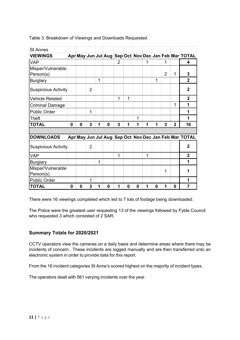| <b>St Annes</b>            |   |   |                |   |   |                |          |          |   |   |   |              |                                                       |
|----------------------------|---|---|----------------|---|---|----------------|----------|----------|---|---|---|--------------|-------------------------------------------------------|
| <b>VIEWINGS</b>            |   |   |                |   |   |                |          |          |   |   |   |              | Apr May Jun Jul Aug Sep Oct Nov Dec Jan Feb Mar TOTAL |
| <b>VAP</b>                 |   |   |                |   |   | $\overline{2}$ |          |          | 1 |   | 1 |              | 4                                                     |
| Misper/Vulnerable          |   |   |                |   |   |                |          |          |   |   |   |              |                                                       |
| Person(s)                  |   |   |                |   |   |                |          |          |   |   | 2 | 1            | 3                                                     |
| <b>Burglary</b>            |   |   |                | 1 |   |                |          |          |   | 1 |   |              | $\overline{2}$                                        |
| <b>Suspicious Activity</b> |   |   | 2              |   |   |                |          |          |   |   |   |              | $\mathbf{2}$                                          |
| <b>Vehicle Related</b>     |   |   |                |   |   | 1              | 1        |          |   |   |   |              | $\overline{2}$                                        |
| <b>Criminal Damage</b>     |   |   |                |   |   |                |          |          |   |   |   | 1            | 1                                                     |
| <b>Public Order</b>        |   |   | 1              |   |   |                |          |          |   |   |   |              | 1                                                     |
| <b>Theft</b>               |   |   |                |   |   |                |          | 1        |   |   |   |              | 1                                                     |
| <b>TOTAL</b>               | 0 | 0 | 3              | 1 | 0 | 3              | 1        | 1        | 1 | 1 | 3 | $\mathbf{2}$ | 16                                                    |
|                            |   |   |                |   |   |                |          |          |   |   |   |              |                                                       |
| <b>DOWNLOADS</b>           |   |   |                |   |   |                |          |          |   |   |   |              | Apr May Jun Jul Aug Sep Oct Nov Dec Jan Feb Mar TOTAL |
| <b>Suspicious Activity</b> |   |   | $\overline{2}$ |   |   |                |          |          |   |   |   |              | $\overline{2}$                                        |
| <b>VAP</b>                 |   |   |                |   |   | 1              |          |          | 1 |   |   |              | $\mathbf{2}$                                          |
| <b>Burglary</b>            |   |   |                | 1 |   |                |          |          |   |   |   |              | 1                                                     |
| Misper/Vulnerable          |   |   |                |   |   |                |          |          |   |   | 1 |              |                                                       |
| Person(s)                  |   |   |                |   |   |                |          |          |   |   |   |              |                                                       |
| <b>Public Order</b>        |   |   | 1              |   |   |                |          |          |   |   |   |              |                                                       |
| <b>TOTAL</b>               | 0 | 0 | 3              | 1 | 0 | 1              | $\bf{0}$ | $\bf{0}$ | 1 | 0 | 1 | 0            | 7                                                     |

#### Table 3: Breakdown of Viewings and Downloads Requested

There were 16 viewings completed which led to 7 lots of footage being downloaded.

The Police were the greatest user requesting 13 of the viewings followed by Fylde Council who requested 3 which consisted of 2 SAR.

# **Summary Totals for 2020/2021**

CCTV operators view the cameras on a daily basis and determine areas where there may be incidents of concern. These incidents are logged manually and are then transferred onto an electronic system in order to provide data for this report.

From the 16 incident categories St Anne's scored highest on the majority of incident types.

The operators dealt with 561 varying incidents over the year.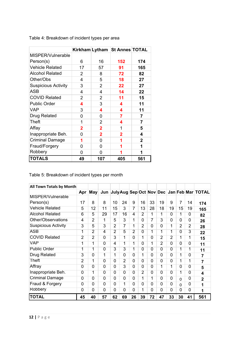|                            |             |                | Kirkham Lytham St Annes TOTAL |              |
|----------------------------|-------------|----------------|-------------------------------|--------------|
| MISPER/Vulnerable          |             |                |                               |              |
| Person(s)                  | 6           | 16             | 152                           | 174          |
| <b>Vehicle Related</b>     | 17          | 57             | 91                            | 165          |
| <b>Alcohol Related</b>     | 2           | 8              | 72                            | 82           |
| Other/Obs                  | 4           | 5              | 18                            | 27           |
| <b>Suspicious Activity</b> | 3           | 2              | 22                            | 27           |
| <b>ASB</b>                 | 4           | 4              | 14                            | 22           |
| <b>COVID Related</b>       | 2           | 2              | 11                            | 15           |
| <b>Public Order</b>        | 4           | 3              | 4                             | 11           |
| <b>VAP</b>                 | 3           | 4              | 4                             | 11           |
| <b>Drug Related</b>        | 0           | 0              | 7                             | 7            |
| Theft                      | 1           | $\overline{2}$ | 4                             | 7            |
| Affay                      | $\mathbf 2$ | $\mathbf{2}$   | 1                             | 5            |
| Inappropriate Beh.         | 0           | $\mathbf 2$    | 2                             | 4            |
| <b>Criminal Damage</b>     | 1           | 0              | 1                             | $\mathbf{2}$ |
| Fraud/Forgery              | 0           | 0              | 1                             | 1            |
| Robbery                    | 0           | 0              | 1                             | 1            |
| <b>TOTALS</b>              | 49          | 107            | 405                           | 561          |

Table 4: Breakdown of incident types per area

Table 5: Breakdown of incident types per month

| All Town Totals by Month   |                |                |                |                |                |                |                |                |                |                |                |                |                                                            |
|----------------------------|----------------|----------------|----------------|----------------|----------------|----------------|----------------|----------------|----------------|----------------|----------------|----------------|------------------------------------------------------------|
|                            | Apr            | <b>May</b>     |                |                |                |                |                |                |                |                |                |                | Jun  July Aug Sep Oct  Nov   Dec   Jan   Feb   Mar   TOTAL |
| MISPER/Vulnerable          |                |                |                |                |                |                |                |                |                |                |                |                |                                                            |
| Person(s)                  | 17             | 8              | 8              | 10             | 24             | 9              | 16             | 33             | 19             | 9              | $\overline{7}$ | 14             | 174                                                        |
| <b>Vehicle Related</b>     | 5              | 12             | 11             | 15             | 3              | 7              | 13             | 28             | 18             | 19             | 15             | 19             | 165                                                        |
| <b>Alcohol Related</b>     | 6              | 5              | 29             | 17             | 16             | 4              | $\overline{2}$ | 1              | 1              | $\Omega$       | 1              | 0              | 82                                                         |
| Other/Observations         | 4              | $\overline{2}$ | 1              | 5              | 3              | 1              | $\Omega$       | 7              | $\overline{3}$ | $\overline{0}$ | 0              | 0              | 26                                                         |
| <b>Suspicious Activity</b> | $\overline{3}$ | 5              | $\overline{3}$ | 2              | 7              | 1              | 2              | $\Omega$       | $\overline{0}$ | 1              | $\overline{2}$ | $\overline{2}$ | 28                                                         |
| <b>ASB</b>                 | 1              | $\overline{2}$ | 4              | $\overline{2}$ | 5              | $\overline{2}$ | 0              | 1              | 1              | 1              | $\overline{0}$ | 3              | 22                                                         |
| <b>COVID Related</b>       | $\overline{2}$ | 2              | $\mathbf 0$    | 3              | 1              | $\Omega$       | 1              | $\mathbf 0$    | $\overline{2}$ | 2              | 1              | 1              | 15                                                         |
| <b>VAP</b>                 | 1              | 1              | $\Omega$       | 4              | 1              | 1              | $\Omega$       | 1              | $\overline{2}$ | $\Omega$       | 0              | $\Omega$       | 11                                                         |
| <b>Public Order</b>        | 1              | 1              | $\mathbf 0$    | 3              | 3              | 1              | $\mathbf 0$    | $\overline{0}$ | $\mathbf 0$    | $\mathbf 0$    | $\overline{1}$ | 1              | 11                                                         |
| <b>Drug Related</b>        | 3              | 0              | 1              | 1              | 0              | 0              | 1              | $\Omega$       | $\mathbf 0$    | $\Omega$       | 1              | $\Omega$       | $\overline{7}$                                             |
| Theft                      | $\overline{2}$ | 1              | 0              | $\Omega$       | $\overline{2}$ | $\Omega$       | 0              | 0              | 0              | 0              | 1              | 1              | $\overline{7}$                                             |
| Affray                     | 0              | $\Omega$       | $\Omega$       | 0              | 3              | 0              | $\Omega$       | $\Omega$       | 1              | 1              | 0              | $\Omega$       | 5                                                          |
| Inappropriate Beh.         | 0              | 1              | $\Omega$       | $\Omega$       | 0              | $\Omega$       | $\overline{2}$ | 0              | $\overline{0}$ | $\Omega$       | 1              | $\Omega$       | 4                                                          |
| <b>Criminal Damage</b>     | $\Omega$       | 0              | $\mathbf 0$    | 0              | 0              | 0              | 1              | 1              | $\mathbf 0$    | $\mathbf 0$    | $\Omega$       | $\Omega$       | $\overline{2}$                                             |
| Fraud & Forgery            | $\mathbf 0$    | 0              | $\mathbf 0$    | 0              | 1              | 0              | $\mathbf 0$    | $\mathbf 0$    | $\mathbf 0$    | $\mathbf 0$    | $\Omega$       | $\Omega$       | 1                                                          |
| <b>Robbery</b>             | 0              | 0              | $\Omega$       | 0              | 0              | 0              | 1              | 0              | $\overline{0}$ | $\overline{0}$ | 0              | 0              | 1                                                          |
| <b>TOTAL</b>               | 45             | 40             | 57             | 62             | 69             | 26             | 39             | 72             | 47             | 33             | 30             | 41             | 561                                                        |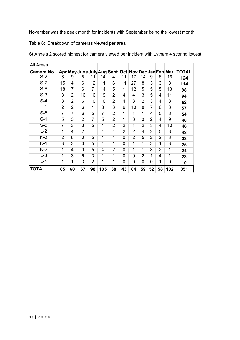November was the peak month for incidents with September being the lowest month.

Table 6: Breakdown of cameras viewed per area

| All Areas        |                |                |                |                |                |                                                    |                |                |                |                |                |                |              |
|------------------|----------------|----------------|----------------|----------------|----------------|----------------------------------------------------|----------------|----------------|----------------|----------------|----------------|----------------|--------------|
| <b>Camera No</b> |                |                |                |                |                | Apr May June July Aug Sept Oct Nov Dec Jan Feb Mar |                |                |                |                |                |                | <b>TOTAL</b> |
| $S-2$            | 6              | 9              | 5              | 11             | 14             | 4                                                  | 11             | 17             | 14             | 9              | 8              | 16             | 124          |
| $S-7$            | 15             | 4              | 6              | 12             | 11             | 6                                                  | 11             | 27             | 8              | 3              | 3              | 8              | 114          |
| $S-6$            | 18             | 7              | 6              | 7              | 14             | 5                                                  | 1              | 12             | 5              | 5              | 5              | 13             | 98           |
| $S-3$            | 8              | $\overline{2}$ | 16             | 16             | 19             | $\overline{2}$                                     | 4              | 4              | 3              | 5              | 4              | 11             | 94           |
| $S-4$            | 8              | $\overline{2}$ | 6              | 10             | 10             | $\overline{2}$                                     | 4              | 3              | $\overline{2}$ | 3              | 4              | 8              | 62           |
| $L-1$            | $\overline{2}$ | $\overline{2}$ | 6              | 1              | 3              | 3                                                  | 6              | 10             | 8              | 7              | 6              | 3              | 57           |
| $S-8$            | 7              | 7              | 6              | 5              | $\overline{7}$ | $\overline{2}$                                     | 1              | 1              | 1              | 4              | 5              | 8              | 54           |
| $S-1$            | 5              | 3              | $\overline{2}$ | $\overline{7}$ | 5              | $\overline{2}$                                     | 1              | $\overline{3}$ | 3              | $\overline{2}$ | 4              | 9              | 46           |
| $S-5$            | 7              | 3              | 3              | 5              | 4              | $\overline{2}$                                     | $\overline{2}$ | 1              | $\overline{2}$ | 3              | 4              | 10             | 46           |
| $L-2$            | $\overline{1}$ | 4              | $\overline{2}$ | 4              | 4              | 4                                                  | $\overline{2}$ | $\overline{2}$ | 4              | $\overline{2}$ | 5              | 8              | 42           |
| $K-3$            | $\overline{2}$ | 6              | $\overline{0}$ | 5              | 4              | 1                                                  | 0              | $\overline{2}$ | 5              | $\overline{2}$ | $\overline{2}$ | 3              | 32           |
| $K-1$            | 3              | 3              | $\overline{0}$ | 5              | 4              | 1                                                  | 0              | 1              | 1              | 3              | 1              | 3              | 25           |
| $K-2$            | 1              | 4              | $\overline{0}$ | 5              | 4              | $\overline{2}$                                     | 0              | 1              | 1              | 3              | $\overline{2}$ | 1              | 24           |
| $L - 3$          | 1              | 3              | 6              | 3              | 1              | 1                                                  | 0              | $\overline{0}$ | $\overline{2}$ | 1              | 4              | 1              | 23           |
| $L - 4$          | 1              | 1              | 3              | $\overline{2}$ | 1              | 1                                                  | $\overline{0}$ | $\overline{0}$ | $\overline{0}$ | 0              | 1              | $\overline{0}$ | 10           |
| <b>TOTAL</b>     | 85             | 60             | 67             | 98             | 105            | 38                                                 | 43             | 84             | 59             | 52             | 58             | 102            | 851          |

St Anne's 2 scored highest for camera viewed per incident with Lytham 4 scoring lowest.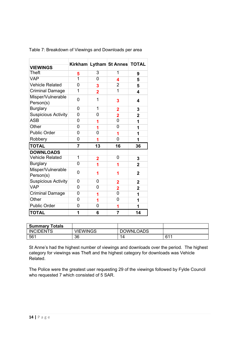| <b>VIEWINGS</b>                |                |                | Kirkham Lytham St Annes TOTAL |                |
|--------------------------------|----------------|----------------|-------------------------------|----------------|
| <b>Theft</b>                   | 5              | 3              | 1                             | 9              |
| <b>VAP</b>                     | $\overline{1}$ | $\overline{0}$ | 4                             | 5              |
| <b>Vehicle Related</b>         | 0              | 3              | $\overline{2}$                | 5              |
| <b>Criminal Damage</b>         | $\overline{1}$ | $\overline{2}$ | $\overline{1}$                | 4              |
| Misper/Vulnerable<br>Person(s) | 0              | 1              | 3                             | 4              |
| <b>Burglary</b>                | 0              | 1              | $\overline{\mathbf{2}}$       | 3              |
| <b>Suspicious Activity</b>     | $\overline{0}$ | 0              | $\overline{2}$                | $\overline{2}$ |
| <b>ASB</b>                     | 0              | 1              | $\overline{0}$                | 1              |
| Other                          | $\overline{0}$ | 1              | 0                             | 1              |
| <b>Public Order</b>            | 0              | 0              | 1                             | 1              |
| Robbery                        | 0              | 1              | 0                             | 1              |
| <b>TOTAL</b>                   | 7              | 13             | 16                            | 36             |
| <b>DOWNLOADS</b>               |                |                |                               |                |
|                                |                |                |                               |                |
| <b>Vehicle Related</b>         | 1              | 2              | 0                             | 3              |
| <b>Burglary</b>                | $\overline{0}$ | 1              | 1                             | $\overline{2}$ |
| Misper/Vulnerable<br>Person(s) | 0              | 1              | 1                             | $\overline{2}$ |
| <b>Suspicious Activity</b>     | 0              | 0              | $\mathbf{2}$                  | $\overline{2}$ |
| <b>VAP</b>                     | $\overline{0}$ | 0              | $\overline{\mathbf{2}}$       | $\overline{2}$ |
| <b>Criminal Damage</b>         | 0              | 1              | $\overline{0}$                | 1              |
| Other                          | 0              | 1              | 0                             | 1              |
| <b>Public Order</b>            | 0              | 0              | 1                             | 1              |

Table 7: Breakdown of Viewings and Downloads per area

| <b>Summary Totals</b> |                 |                  |     |
|-----------------------|-----------------|------------------|-----|
| <b>INCIDENTS</b>      | <b>VIEWINGS</b> | <b>DOWNLOADS</b> |     |
| 561                   | 36              |                  | 611 |

St Anne's had the highest number of viewings and downloads over the period. The highest category for viewings was Theft and the highest category for downloads was Vehicle Related.

The Police were the greatest user requesting 29 of the viewings followed by Fylde Council who requested 7 which consisted of 5 SAR.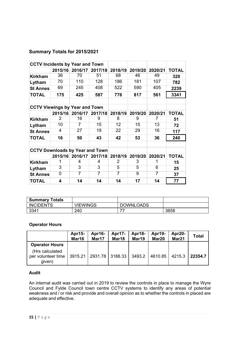# **Summary Totals for 2015/2021**

| <b>CCTV Incidents by Year and Town</b> |                                       |                 |         |         |         |         |              |
|----------------------------------------|---------------------------------------|-----------------|---------|---------|---------|---------|--------------|
|                                        |                                       | 2015/16 2016/17 | 2017/18 | 2018/19 | 2019/20 | 2020/21 | <b>TOTAL</b> |
| <b>Kirkham</b>                         | 36                                    | 70              | 51      | 68      | 46      | 49      | 320          |
| Lytham                                 | 70                                    | 110             | 128     | 186     | 181     | 107     | 782          |
| <b>St Annes</b>                        | 69                                    | 245             | 408     | 522     | 590     | 405     | 2239         |
| TOTAL                                  | 175                                   | 425             | 587     | 776     | 817     | 561     | 3341         |
|                                        |                                       |                 |         |         |         |         |              |
|                                        | <b>CCTV Viewings by Year and Town</b> |                 |         |         |         |         |              |
|                                        |                                       | 2015/16 2016/17 | 2017/18 | 2018/19 | 2019/20 | 2020/21 | <b>TOTAL</b> |
| <b>Kirkham</b>                         | $\mathcal{P}$                         | 16              | 9       | 8       | 9       | 7       | 51           |
| Lytham                                 | 10                                    | 7               | 15      | 12      | 15      | 13      | 72           |
| <b>St Annes</b>                        | 4                                     | 27              | 19      | 22      | 29      | 16      | 117          |
| <b>TOTAL</b>                           | 16                                    | 50              | 43      | 42      | 53      | 36      | 240          |
| <b>CCTV Downloads by Year and Town</b> |                                       |                 |         |         |         |         |              |
|                                        |                                       | 2015/16 2016/17 | 2017/18 | 2018/19 | 2019/20 | 2020/21 | <b>TOTAL</b> |
| <b>Kirkham</b>                         |                                       | 4               | 4       | 2       | 3       |         | 15           |
| Lytham                                 | 3                                     | 3               | 3       | 5       | 5       | 6       | 25           |
| <b>St Annes</b>                        | 0                                     | 7               | 7       | 7       | 9       | 7       | 37           |
| TOTAL                                  | 4                                     | 14              | 14      | 14      | 17      | 14      | 77           |

| <b>Summary Totals</b> |          |                  |      |
|-----------------------|----------|------------------|------|
| <b>INCIDENTS</b>      | VIEWINGS | <b>DOWNLOADS</b> |      |
| 3341                  | 240      |                  | 3658 |

#### **Operator Hours**

|                                                 | Apr15-<br>Mar16 | Apr16-<br>Mar17             | Apr17-<br>Mar18 | Apr18-<br>Mar19 | Apr19-<br>Mar <sub>20</sub> | Apr20-<br>Mar21 | <b>Total</b> |
|-------------------------------------------------|-----------------|-----------------------------|-----------------|-----------------|-----------------------------|-----------------|--------------|
| <b>Operator Hours</b>                           |                 |                             |                 |                 |                             |                 |              |
| (Hrs calculated<br>per volunteer time<br>given) |                 | 3915.21   2931.78   3188.33 |                 | 3493.2          | 4610.85                     | 4215.3          | 22354.7      |

## **Audit**

An internal audit was carried out in 2019 to review the controls in place to manage the Wyre Council and Fylde Council town centre CCTV systems to identify any areas of potential weakness and / or risk and provide and overall opinion as to whether the controls in placed are adequate and effective.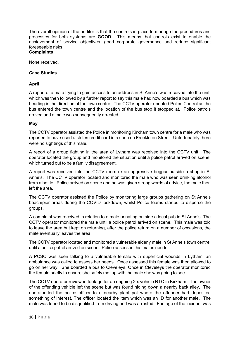The overall opinion of the auditor is that the controls in place to manage the procedures and processes for both systems are **GOOD**. This means that controls exist to enable the achievement of service objectives, good corporate governance and reduce significant foreseeable risks.

#### **Complaints**

None received.

#### **Case Studies**

#### **April**

A report of a male trying to gain access to an address in St Anne's was received into the unit, which was then followed by a further report to say this male had now boarded a bus which was heading in the direction of the town centre. The CCTV operator updated Police Control as the bus entered the town centre and the location of the bus stop it stopped at. Police patrols arrived and a male was subsequently arrested.

#### **May**

The CCTV operator assisted the Police in monitoring Kirkham town centre for a male who was reported to have used a stolen credit card in a shop on Freckleton Street. Unfortunately there were no sightings of this male.

A report of a group fighting in the area of Lytham was received into the CCTV unit. The operator located the group and monitored the situation until a police patrol arrived on scene, which turned out to be a family disagreement.

A report was received into the CCTV room re an aggressive beggar outside a shop in St Anne's. The CCTV operator located and monitored the male who was seen drinking alcohol from a bottle. Police arrived on scene and he was given strong words of advice, the male then left the area.

The CCTV operator assisted the Police by monitoring large groups gathering on St Anne's beach/pier areas during the COVID lockdown, whilst Police teams started to disperse the groups.

A complaint was received in relation to a male urinating outside a local pub in St Anne's. The CCTV operator monitored the male until a police patrol arrived on scene. This male was told to leave the area but kept on returning, after the police return on a number of occasions, the male eventually leaves the area.

The CCTV operator located and monitored a vulnerable elderly male in St Anne's town centre, until a police patrol arrived on scene. Police assessed this males needs.

A PCSO was seen talking to a vulnerable female with superficial wounds in Lytham, an ambulance was called to assess her needs. Once assessed this female was then allowed to go on her way. She boarded a bus to Cleveleys. Once in Cleveleys the operator monitored the female briefly to ensure she safely met up with the male she was going to see.

The CCTV operator reviewed footage for an ongoing 2 x vehicle RTC in Kirkham. The owner of the offending vehicle left the scene but was found hiding down a nearby back alley. The operator led the police officer to a nearby plant pot where the offender had deposited something of interest. The officer located the item which was an ID for another male. The male was found to be disqualified from driving and was arrested. Footage of the incident was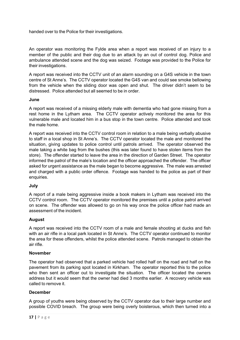handed over to the Police for their investigations.

An operator was monitoring the Fylde area when a report was received of an injury to a member of the public and their dog due to an attack by an out of control dog. Police and ambulance attended scene and the dog was seized. Footage was provided to the Police for their investigations.

A report was received into the CCTV unit of an alarm sounding on a G4S vehicle in the town centre of St Anne's. The CCTV operator located the G4S van and could see smoke bellowing from the vehicle when the sliding door was open and shut. The driver didn't seem to be distressed. Police attended but all seemed to be in order.

#### **June**

A report was received of a missing elderly male with dementia who had gone missing from a rest home in the Lytham area. The CCTV operator actively monitored the area for this vulnerable male and located him in a bus stop in the town centre. Police attended and took the male home.

A report was received into the CCTV control room in relation to a male being verbally abusive to staff in a local shop in St Anne's. The CCTV operator located the male and monitored the situation, giving updates to police control until patrols arrived. The operator observed the male taking a white bag from the bushes (this was later found to have stolen items from the store). The offender started to leave the area in the direction of Garden Street. The operator informed the patrol of the male's location and the officer approached the offender. The officer asked for urgent assistance as the male began to become aggressive. The male was arrested and charged with a public order offence. Footage was handed to the police as part of their enquiries.

#### **July**

A report of a male being aggressive inside a book makers in Lytham was received into the CCTV control room. The CCTV operator monitored the premises until a police patrol arrived on scene. The offender was allowed to go on his way once the police officer had made an assessment of the incident.

#### **August**

A report was received into the CCTV room of a male and female shooting at ducks and fish with an air rifle in a local park located in St Anne's. The CCTV operator continued to monitor the area for these offenders, whilst the police attended scene. Patrols managed to obtain the air rifle.

#### **November**

The operator had observed that a parked vehicle had rolled half on the road and half on the pavement from its parking spot located in Kirkham. The operator reported this to the police who then sent an officer out to investigate the situation. The officer located the owners address but it would seem that the owner had died 3 months earlier. A recovery vehicle was called to remove it.

#### **December**

A group of youths were being observed by the CCTV operator due to their large number and possible COVID breach. The group were being overly boisterous, which then turned into a